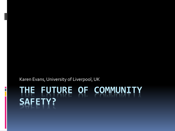Karen Evans, University of Liverpool, UK

 $\frac{1}{1}$ 

# **THE FUTURE OF COMMUNITY SAFETY?**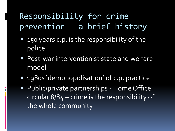#### Responsibility for crime prevention – a brief history

- 150 years c.p. is the responsibility of the police
- Post-war interventionist state and welfare model
- **1980s 'demonopolisation' of c.p. practice**
- **Public/private partnerships Home Office** circular 8/84 – crime is the responsibility of the whole community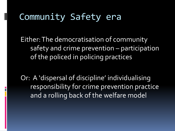### Community Safety era

Either: The democratisation of community safety and crime prevention – participation of the policed in policing practices

Or: A 'dispersal of discipline' individualising responsibility for crime prevention practice and a rolling back of the welfare model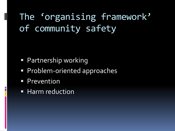The 'organising framework' of community safety

- **Partnership working**
- Problem-oriented approaches
- **Prevention**

**Harm reduction**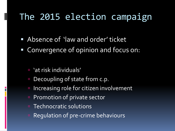# The 2015 election campaign

- **Absence of 'law and order' ticket**
- Convergence of opinion and focus on:
	- 'at risk individuals'

- Decoupling of state from c.p.
- Increasing role for citizen involvement
- **Promotion of private sector**
- Technocratic solutions
- **E** Regulation of pre-crime behaviours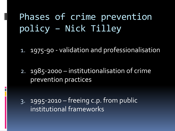# Phases of crime prevention policy – Nick Tilley

1. 1975-90 - validation and professionalisation

2. 1985-2000 – institutionalisation of crime prevention practices

3. 1995-2010 – freeing c.p. from public institutional frameworks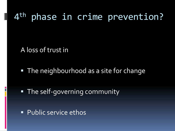# 4 th phase in crime prevention?

A loss of trust in

**The neighbourhood as a site for change** 

**The self-governing community** 

**Public service ethos**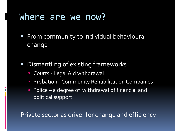#### Where are we now?

- **From community to individual behavioural** change
- **Dismantling of existing frameworks** 
	- Courts Legal Aid withdrawal
	- **Probation Community Rehabilitation Companies**
	- Police a degree of withdrawal of financial and political support

Private sector as driver for change and efficiency